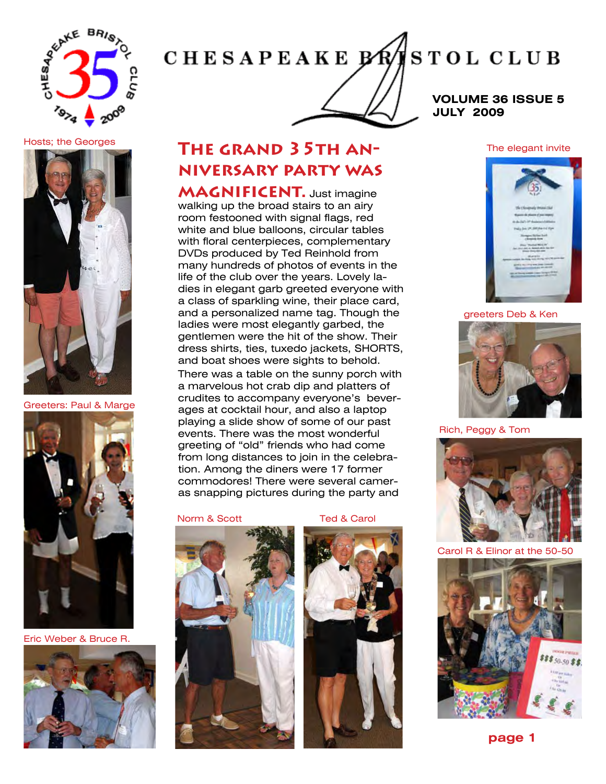

# **CHESAPEAKE BRA STOL CLUB**

**VOLUME 36 ISSUE 5 JULY 2009**

## Hosts; the Georges



### Greeters: Paul & Marge



Eric Weber & Bruce R.



## **The grand 35th anniversary party was**

**MAGNIFICENT.** Just imagine walking up the broad stairs to an airy room festooned with signal flags, red white and blue balloons, circular tables with floral centerpieces, complementary DVDs produced by Ted Reinhold from many hundreds of photos of events in the life of the club over the years. Lovely ladies in elegant garb greeted everyone with a class of sparkling wine, their place card, and a personalized name tag. Though the ladies were most elegantly garbed, the gentlemen were the hit of the show. Their dress shirts, ties, tuxedo jackets, SHORTS, and boat shoes were sights to behold. There was a table on the sunny porch with a marvelous hot crab dip and platters of crudites to accompany everyone's beverages at cocktail hour, and also a laptop playing a slide show of some of our past events. There was the most wonderful greeting of "old" friends who had come from long distances to join in the celebration. Among the diners were 17 former commodores! There were several camer-

as snapping pictures during the party and





## The elegant invite



## greeters Deb & Ken



Rich, Peggy & Tom



Carol R & Elinor at the 50-50

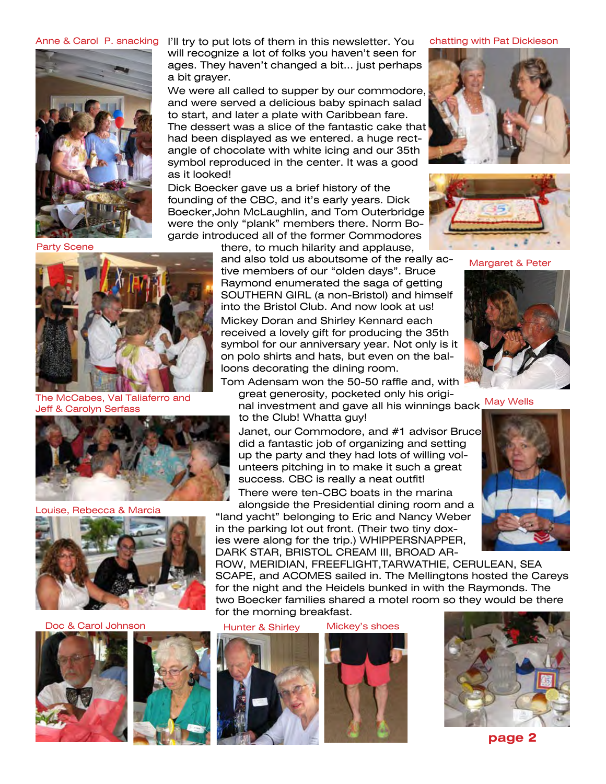

Anne & Carol P. snacking Y'll try to put lots of them in this newsletter. You chatting with Pat Dickieson will recognize a lot of folks you haven't seen for ages. They haven't changed a bit... just perhaps a bit grayer.

> We were all called to supper by our commodore, and were served a delicious baby spinach salad to start, and later a plate with Caribbean fare. The dessert was a slice of the fantastic cake that had been displayed as we entered, a huge rectangle of chocolate with white icing and our 35th symbol reproduced in the center. It was a good as it looked!

> Dick Boecker gave us a brief history of the founding of the CBC, and it's early years. Dick Boecker,John McLaughlin, and Tom Outerbridge were the only "plank" members there. Norm Bogarde introduced all of the former Commodores

Party Scene



The McCabes, Val Taliaferro and Jeff & Carolyn Serfass



Louise, Rebecca & Marcia



Doc & Carol Johnson Hunter & Shirley





there, to much hilarity and applause, and also told us aboutsome of the really active members of our "olden days". Bruce Raymond enumerated the saga of getting SOUTHERN GIRL (a non-Bristol) and himself into the Bristol Club. And now look at us! Mickey Doran and Shirley Kennard each received a lovely gift for producing the 35th symbol for our anniversary year. Not only is it on polo shirts and hats, but even on the balloons decorating the dining room.

nal investment and gave all his winnings back May Wells Tom Adensam won the 50-50 raffle and, with great generosity, pocketed only his origito the Club! Whatta guy!

Janet, our Commodore, and #1 advisor Bruce did a fantastic job of organizing and setting up the party and they had lots of willing volunteers pitching in to make it such a great success. CBC is really a neat outfit!

There were ten-CBC boats in the marina alongside the Presidential dining room and a

"land yacht" belonging to Eric and Nancy Weber in the parking lot out front. (Their two tiny doxies were along for the trip.) WHIPPERSNAPPER,

DARK STAR, BRISTOL CREAM III, BROAD AR-ROW, MERIDIAN, FREEFLIGHT,TARWATHIE, CERULEAN, SEA SCAPE, and ACOMES sailed in. The Mellingtons hosted the Careys for the night and the Heidels bunked in with the Raymonds. The two Boecker families shared a motel room so they would be there for the morning breakfast.















Margaret & Peter



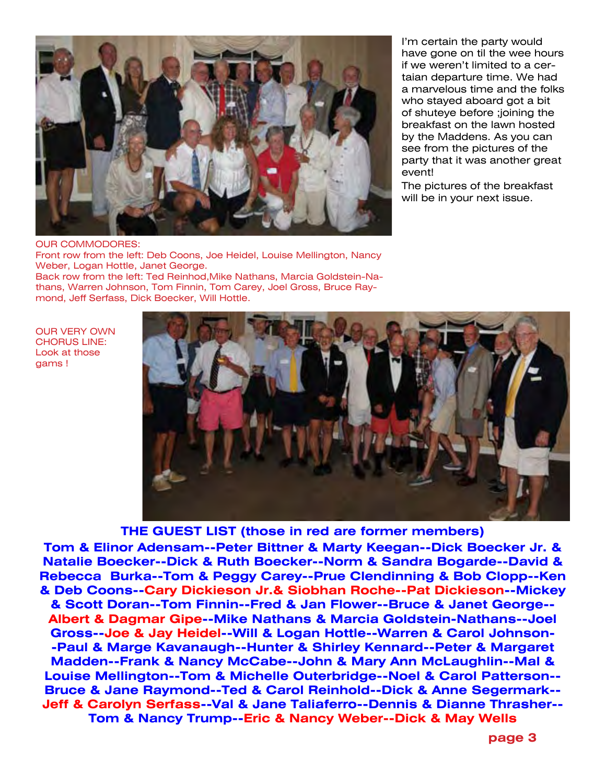

OUR COMMODORES: Front row from the left: Deb Coons, Joe Heidel, Louise Mellington, Nancy Weber, Logan Hottle, Janet George. Back row from the left: Ted Reinhod,Mike Nathans, Marcia Goldstein-Nathans, Warren Johnson, Tom Finnin, Tom Carey, Joel Gross, Bruce Raymond, Jeff Serfass, Dick Boecker, Will Hottle.

OUR VERY OWN CHORUS LINE: Look at those gams !

I'm certain the party would have gone on til the wee hours if we weren't limited to a certaian departure time. We had a marvelous time and the folks who stayed aboard got a bit of shuteye before ;joining the breakfast on the lawn hosted by the Maddens. As you can see from the pictures of the party that it was another great event!

The pictures of the breakfast will be in your next issue.



**THE GUEST LIST (those in red are former members)**

**Tom & Elinor Adensam--Peter Bittner & Marty Keegan--Dick Boecker Jr. & Natalie Boecker--Dick & Ruth Boecker--Norm & Sandra Bogarde--David & Rebecca Burka--Tom & Peggy Carey--Prue Clendinning & Bob Clopp--Ken & Deb Coons--Cary Dickieson Jr.& Siobhan Roche--Pat Dickieson--Mickey & Scott Doran--Tom Finnin--Fred & Jan Flower--Bruce & Janet George-- Albert & Dagmar Gipe--Mike Nathans & Marcia Goldstein-Nathans--Joel Gross--Joe & Jay Heidel--Will & Logan Hottle--Warren & Carol Johnson- -Paul & Marge Kavanaugh--Hunter & Shirley Kennard--Peter & Margaret Madden--Frank & Nancy McCabe--John & Mary Ann McLaughlin--Mal & Louise Mellington--Tom & Michelle Outerbridge--Noel & Carol Patterson-- Bruce & Jane Raymond--Ted & Carol Reinhold--Dick & Anne Segermark-- Jeff & Carolyn Serfass--Val & Jane Taliaferro--Dennis & Dianne Thrasher-- Tom & Nancy Trump--Eric & Nancy Weber--Dick & May Wells**